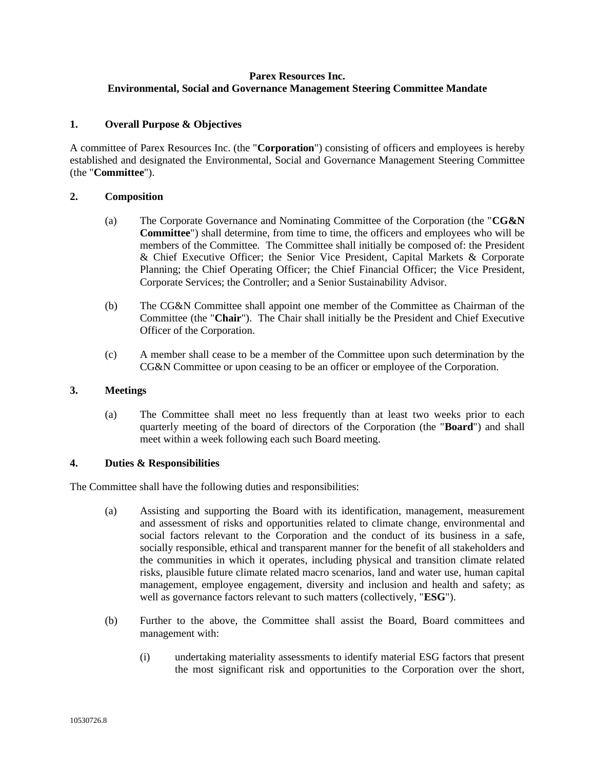# **Parex Resources Inc. Environmental, Social and Governance Management Steering Committee Mandate**

## **1. Overall Purpose & Objectives**

A committee of Parex Resources Inc. (the "**Corporation**") consisting of officers and employees is hereby established and designated the Environmental, Social and Governance Management Steering Committee (the "**Committee**").

## **2. Composition**

- (a) The Corporate Governance and Nominating Committee of the Corporation (the "**CG&N Committee**") shall determine, from time to time, the officers and employees who will be members of the Committee. The Committee shall initially be composed of: the President & Chief Executive Officer; the Senior Vice President, Capital Markets & Corporate Planning; the Chief Operating Officer; the Chief Financial Officer; the Vice President, Corporate Services; the Controller; and a Senior Sustainability Advisor.
- (b) The CG&N Committee shall appoint one member of the Committee as Chairman of the Committee (the "**Chair**"). The Chair shall initially be the President and Chief Executive Officer of the Corporation.
- (c) A member shall cease to be a member of the Committee upon such determination by the CG&N Committee or upon ceasing to be an officer or employee of the Corporation.

#### **3. Meetings**

(a) The Committee shall meet no less frequently than at least two weeks prior to each quarterly meeting of the board of directors of the Corporation (the "**Board**") and shall meet within a week following each such Board meeting.

#### **4. Duties & Responsibilities**

The Committee shall have the following duties and responsibilities:

- (a) Assisting and supporting the Board with its identification, management, measurement and assessment of risks and opportunities related to climate change, environmental and social factors relevant to the Corporation and the conduct of its business in a safe, socially responsible, ethical and transparent manner for the benefit of all stakeholders and the communities in which it operates, including physical and transition climate related risks, plausible future climate related macro scenarios, land and water use, human capital management, employee engagement, diversity and inclusion and health and safety; as well as governance factors relevant to such matters (collectively, "**ESG**").
- (b) Further to the above, the Committee shall assist the Board, Board committees and management with:
	- (i) undertaking materiality assessments to identify material ESG factors that present the most significant risk and opportunities to the Corporation over the short,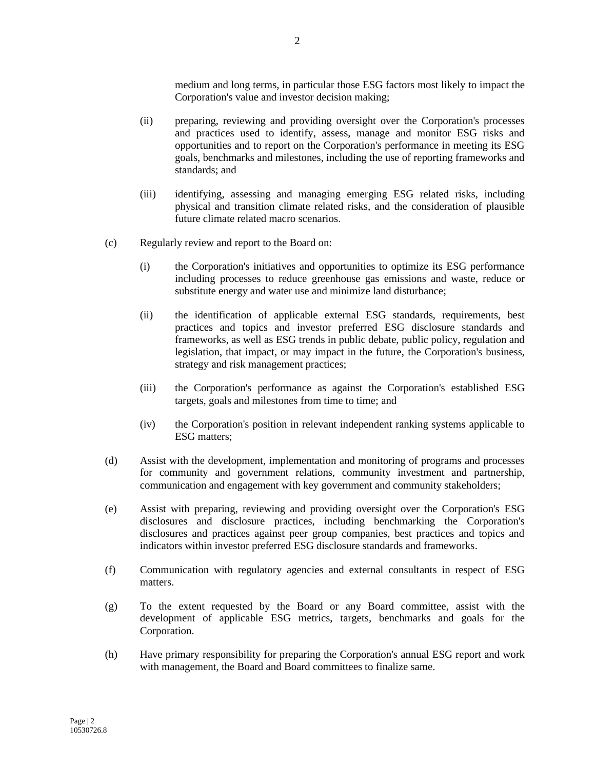medium and long terms, in particular those ESG factors most likely to impact the Corporation's value and investor decision making;

- (ii) preparing, reviewing and providing oversight over the Corporation's processes and practices used to identify, assess, manage and monitor ESG risks and opportunities and to report on the Corporation's performance in meeting its ESG goals, benchmarks and milestones, including the use of reporting frameworks and standards; and
- (iii) identifying, assessing and managing emerging ESG related risks, including physical and transition climate related risks, and the consideration of plausible future climate related macro scenarios.
- (c) Regularly review and report to the Board on:
	- (i) the Corporation's initiatives and opportunities to optimize its ESG performance including processes to reduce greenhouse gas emissions and waste, reduce or substitute energy and water use and minimize land disturbance;
	- (ii) the identification of applicable external ESG standards, requirements, best practices and topics and investor preferred ESG disclosure standards and frameworks, as well as ESG trends in public debate, public policy, regulation and legislation, that impact, or may impact in the future, the Corporation's business, strategy and risk management practices;
	- (iii) the Corporation's performance as against the Corporation's established ESG targets, goals and milestones from time to time; and
	- (iv) the Corporation's position in relevant independent ranking systems applicable to ESG matters;
- (d) Assist with the development, implementation and monitoring of programs and processes for community and government relations, community investment and partnership, communication and engagement with key government and community stakeholders;
- (e) Assist with preparing, reviewing and providing oversight over the Corporation's ESG disclosures and disclosure practices, including benchmarking the Corporation's disclosures and practices against peer group companies, best practices and topics and indicators within investor preferred ESG disclosure standards and frameworks.
- (f) Communication with regulatory agencies and external consultants in respect of ESG matters.
- (g) To the extent requested by the Board or any Board committee, assist with the development of applicable ESG metrics, targets, benchmarks and goals for the Corporation.
- (h) Have primary responsibility for preparing the Corporation's annual ESG report and work with management, the Board and Board committees to finalize same.